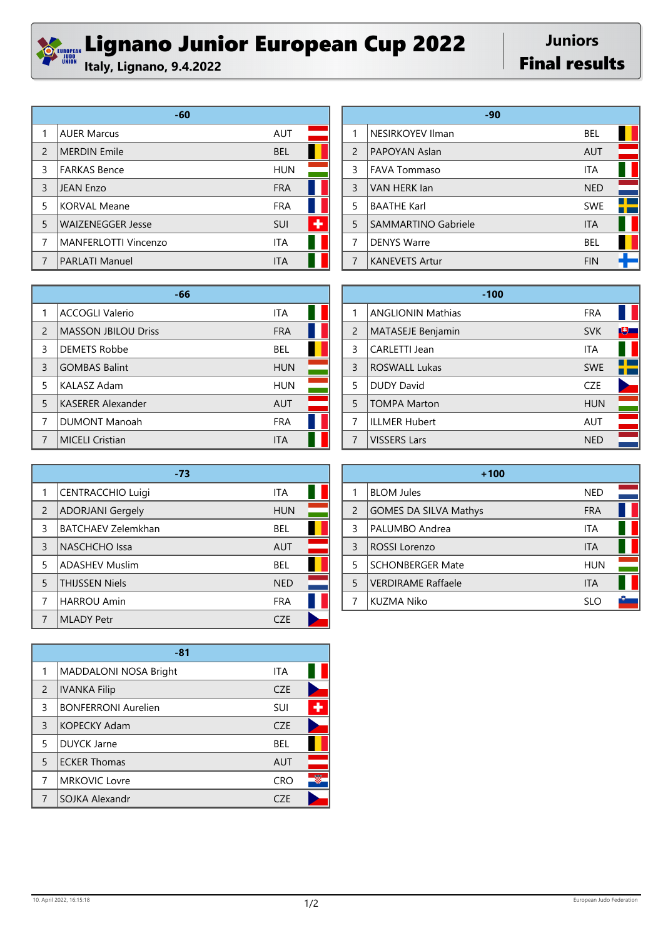## *Sunner Lignano Junior European Cup 2022*

**Juniors Final results** 

|                | -60                      |            |  |
|----------------|--------------------------|------------|--|
| 1              | <b>AUER Marcus</b>       | <b>AUT</b> |  |
| $\overline{2}$ | <b>MERDIN Emile</b>      | <b>BEL</b> |  |
| 3              | <b>FARKAS Bence</b>      | <b>HUN</b> |  |
| 3              | <b>JEAN Enzo</b>         | <b>FRA</b> |  |
| 5              | <b>KORVAL Meane</b>      | <b>FRA</b> |  |
| 5              | <b>WAIZENEGGER Jesse</b> | SUI        |  |
| 7              | MANFERLOTTI Vincenzo     | <b>ITA</b> |  |
| 7              | <b>PARLATI Manuel</b>    | ITA        |  |

|               | -90                     |            |  |
|---------------|-------------------------|------------|--|
| 1             | <b>NESIRKOYEV Ilman</b> | BEL        |  |
| $\mathcal{P}$ | PAPOYAN Aslan           | <b>AUT</b> |  |
| 3             | <b>FAVA Tommaso</b>     | <b>ITA</b> |  |
| 3             | VAN HERK lan            | <b>NED</b> |  |
| 5             | <b>BAATHE Karl</b>      | <b>SWE</b> |  |
| 5             | SAMMARTINO Gabriele     | <b>ITA</b> |  |
| 7             | <b>DENYS Warre</b>      | BEL        |  |
| 7             | <b>KANEVETS Artur</b>   | <b>FIN</b> |  |

|                | -66                        |            |  |
|----------------|----------------------------|------------|--|
|                | <b>ACCOGLI Valerio</b>     | <b>ITA</b> |  |
| $\overline{2}$ | <b>MASSON JBILOU Driss</b> | <b>FRA</b> |  |
| 3              | <b>DEMETS Robbe</b>        | <b>BEL</b> |  |
| 3              | <b>GOMBAS Balint</b>       | <b>HUN</b> |  |
| 5              | <b>KALASZ Adam</b>         | <b>HUN</b> |  |
| 5              | <b>KASERER Alexander</b>   | <b>AUT</b> |  |
| 7              | <b>DUMONT Manoah</b>       | <b>FRA</b> |  |
|                | <b>MICELI Cristian</b>     | ITA        |  |

|                | -73                       |            |  |
|----------------|---------------------------|------------|--|
| 1              | <b>CENTRACCHIO Luigi</b>  | <b>ITA</b> |  |
| $\overline{2}$ | <b>ADORJANI Gergely</b>   | <b>HUN</b> |  |
| 3              | <b>BATCHAEV Zelemkhan</b> | <b>BEL</b> |  |
| $\overline{3}$ | <b>NASCHCHO</b> Issa      | <b>AUT</b> |  |
| 5              | <b>ADASHEV Muslim</b>     | <b>BEL</b> |  |
| 5              | <b>THIJSSEN Niels</b>     | <b>NED</b> |  |
| 7              | <b>HARROU Amin</b>        | <b>FRA</b> |  |
|                | <b>MLADY Petr</b>         | 7F         |  |

|                | $-81$                      |            |   |
|----------------|----------------------------|------------|---|
| 1              | MADDALONI NOSA Bright      | <b>ITA</b> |   |
| $\overline{2}$ | <b>IVANKA Filip</b>        | <b>CZE</b> |   |
| 3              | <b>BONFERRONI Aurelien</b> | SUI        |   |
| 3              | <b>KOPECKY Adam</b>        | <b>CZE</b> |   |
| 5              | <b>DUYCK Jarne</b>         | BEL        |   |
| 5              | <b>ECKER Thomas</b>        | <b>AUT</b> |   |
| 7              | <b>MRKOVIC Lovre</b>       | <b>CRO</b> | g |
| 7              | SOJKA Alexandr             | C7F        |   |

|   | $-100$                   |            |   |
|---|--------------------------|------------|---|
| 1 | <b>ANGLIONIN Mathias</b> | <b>FRA</b> |   |
| 2 | MATASEJE Benjamin        | <b>SVK</b> | 博 |
| 3 | CARLETTI Jean            | <b>ITA</b> |   |
| 3 | <b>ROSWALL Lukas</b>     | <b>SWE</b> |   |
| 5 | <b>DUDY David</b>        | <b>CZE</b> |   |
| 5 | <b>TOMPA Marton</b>      | <b>HUN</b> |   |
| 7 | <b>ILLMER Hubert</b>     | <b>AUT</b> |   |
| 7 | <b>VISSERS Lars</b>      | <b>NED</b> |   |

|                | $+100$                       |            |  |
|----------------|------------------------------|------------|--|
|                | <b>BLOM Jules</b>            | NED        |  |
| $\overline{2}$ | <b>GOMES DA SILVA Mathys</b> | <b>FRA</b> |  |
| 3              | PALUMBO Andrea               | ITA        |  |
| 3              | <b>ROSSI Lorenzo</b>         | <b>ITA</b> |  |
| 5              | <b>SCHONBERGER Mate</b>      | <b>HUN</b> |  |
| 5              | <b>VERDIRAME Raffaele</b>    | <b>ITA</b> |  |
|                | <b>KUZMA Niko</b>            | SLO        |  |